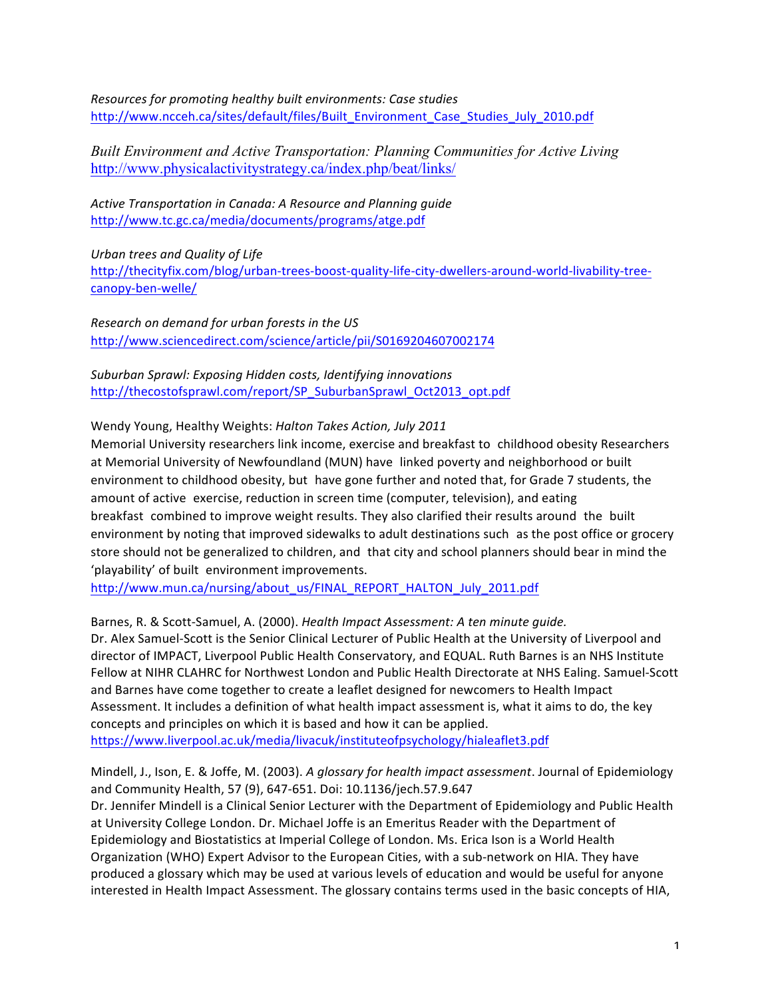*Resources for promoting healthy built environments: Case studies* http://www.ncceh.ca/sites/default/files/Built\_Environment\_Case\_Studies\_July\_2010.pdf

*Built Environment and Active Transportation: Planning Communities for Active Living* http://www.physicalactivitystrategy.ca/index.php/beat/links/

*Active Transportation in Canada: A Resource and Planning guide* http://www.tc.gc.ca/media/documents/programs/atge.pdf

*Urban trees and Quality of Life* http://thecityfix.com/blog/urban-trees-boost-quality-life-city-dwellers-around-world-livability-treecanopy-ben-welle/

*Research on demand for urban forests in the US* http://www.sciencedirect.com/science/article/pii/S0169204607002174

# Suburban Sprawl: Exposing Hidden costs, Identifying innovations http://thecostofsprawl.com/report/SP\_SuburbanSprawl\_Oct2013\_opt.pdf

### Wendy Young, Healthy Weights: Halton Takes Action, July 2011

Memorial University researchers link income, exercise and breakfast to childhood obesity Researchers at Memorial University of Newfoundland (MUN) have linked poverty and neighborhood or built environment to childhood obesity, but have gone further and noted that, for Grade 7 students, the amount of active exercise, reduction in screen time (computer, television), and eating breakfast combined to improve weight results. They also clarified their results around the built environment by noting that improved sidewalks to adult destinations such as the post office or grocery store should not be generalized to children, and that city and school planners should bear in mind the 'playability' of built environment improvements.

http://www.mun.ca/nursing/about\_us/FINAL\_REPORT\_HALTON\_July\_2011.pdf

Barnes, R. & Scott-Samuel, A. (2000). *Health Impact Assessment: A ten minute quide.* Dr. Alex Samuel-Scott is the Senior Clinical Lecturer of Public Health at the University of Liverpool and

director of IMPACT, Liverpool Public Health Conservatory, and EQUAL. Ruth Barnes is an NHS Institute Fellow at NIHR CLAHRC for Northwest London and Public Health Directorate at NHS Ealing. Samuel-Scott and Barnes have come together to create a leaflet designed for newcomers to Health Impact Assessment. It includes a definition of what health impact assessment is, what it aims to do, the key concepts and principles on which it is based and how it can be applied. https://www.liverpool.ac.uk/media/livacuk/instituteofpsychology/hialeaflet3.pdf

Mindell, J., Ison, E. & Joffe, M. (2003). A glossary for health impact assessment. Journal of Epidemiology and Community Health, 57 (9), 647-651. Doi: 10.1136/jech.57.9.647 Dr. Jennifer Mindell is a Clinical Senior Lecturer with the Department of Epidemiology and Public Health at University College London. Dr. Michael Joffe is an Emeritus Reader with the Department of Epidemiology and Biostatistics at Imperial College of London. Ms. Erica Ison is a World Health Organization (WHO) Expert Advisor to the European Cities, with a sub-network on HIA. They have produced a glossary which may be used at various levels of education and would be useful for anyone interested in Health Impact Assessment. The glossary contains terms used in the basic concepts of HIA,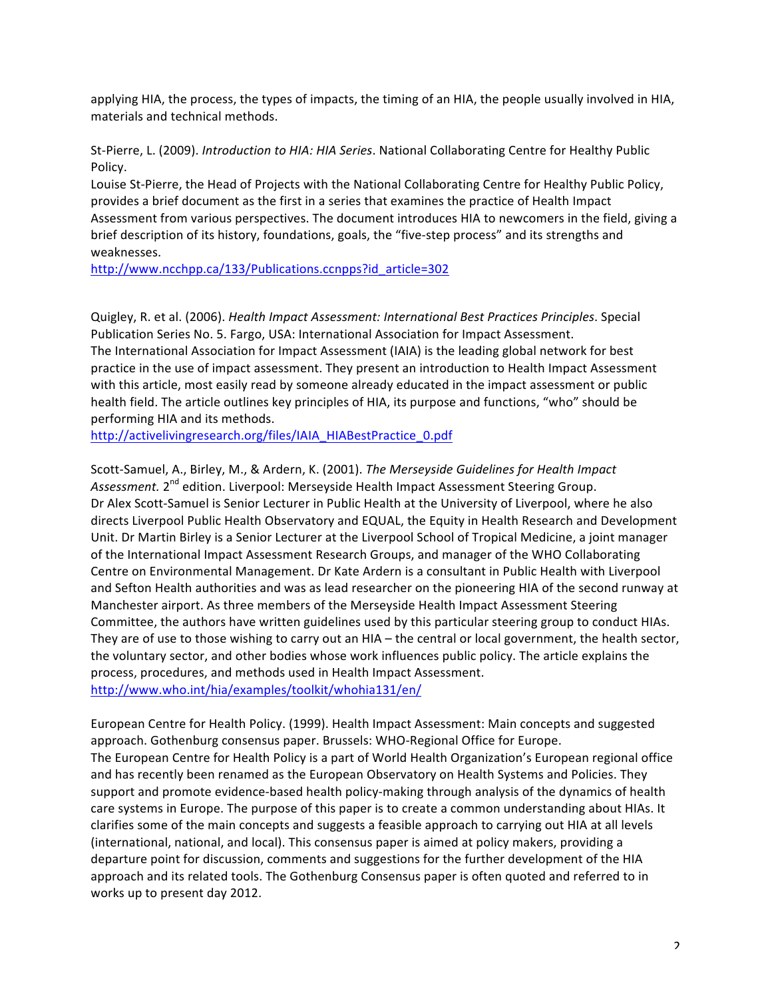applying HIA, the process, the types of impacts, the timing of an HIA, the people usually involved in HIA, materials and technical methods.

St-Pierre, L. (2009). *Introduction to HIA: HIA Series*. National Collaborating Centre for Healthy Public Policy.

Louise St-Pierre, the Head of Projects with the National Collaborating Centre for Healthy Public Policy, provides a brief document as the first in a series that examines the practice of Health Impact Assessment from various perspectives. The document introduces HIA to newcomers in the field, giving a brief description of its history, foundations, goals, the "five-step process" and its strengths and weaknesses. 

http://www.ncchpp.ca/133/Publications.ccnpps?id\_article=302

Quigley, R. et al. (2006). *Health Impact Assessment: International Best Practices Principles*. Special Publication Series No. 5. Fargo, USA: International Association for Impact Assessment. The International Association for Impact Assessment (IAIA) is the leading global network for best practice in the use of impact assessment. They present an introduction to Health Impact Assessment with this article, most easily read by someone already educated in the impact assessment or public health field. The article outlines key principles of HIA, its purpose and functions, "who" should be performing HIA and its methods.

http://activelivingresearch.org/files/IAIA\_HIABestPractice\_0.pdf

Scott-Samuel, A., Birley, M., & Ardern, K. (2001). *The Merseyside Guidelines for Health Impact* Assessment. 2<sup>nd</sup> edition. Liverpool: Merseyside Health Impact Assessment Steering Group. Dr Alex Scott-Samuel is Senior Lecturer in Public Health at the University of Liverpool, where he also directs Liverpool Public Health Observatory and EQUAL, the Equity in Health Research and Development Unit. Dr Martin Birley is a Senior Lecturer at the Liverpool School of Tropical Medicine, a joint manager of the International Impact Assessment Research Groups, and manager of the WHO Collaborating Centre on Environmental Management. Dr Kate Ardern is a consultant in Public Health with Liverpool and Sefton Health authorities and was as lead researcher on the pioneering HIA of the second runway at Manchester airport. As three members of the Merseyside Health Impact Assessment Steering Committee, the authors have written guidelines used by this particular steering group to conduct HIAs. They are of use to those wishing to carry out an HIA – the central or local government, the health sector, the voluntary sector, and other bodies whose work influences public policy. The article explains the process, procedures, and methods used in Health Impact Assessment. http://www.who.int/hia/examples/toolkit/whohia131/en/

European Centre for Health Policy. (1999). Health Impact Assessment: Main concepts and suggested approach. Gothenburg consensus paper. Brussels: WHO-Regional Office for Europe. The European Centre for Health Policy is a part of World Health Organization's European regional office and has recently been renamed as the European Observatory on Health Systems and Policies. They support and promote evidence-based health policy-making through analysis of the dynamics of health care systems in Europe. The purpose of this paper is to create a common understanding about HIAs. It clarifies some of the main concepts and suggests a feasible approach to carrying out HIA at all levels (international, national, and local). This consensus paper is aimed at policy makers, providing a departure point for discussion, comments and suggestions for the further development of the HIA approach and its related tools. The Gothenburg Consensus paper is often quoted and referred to in works up to present day 2012.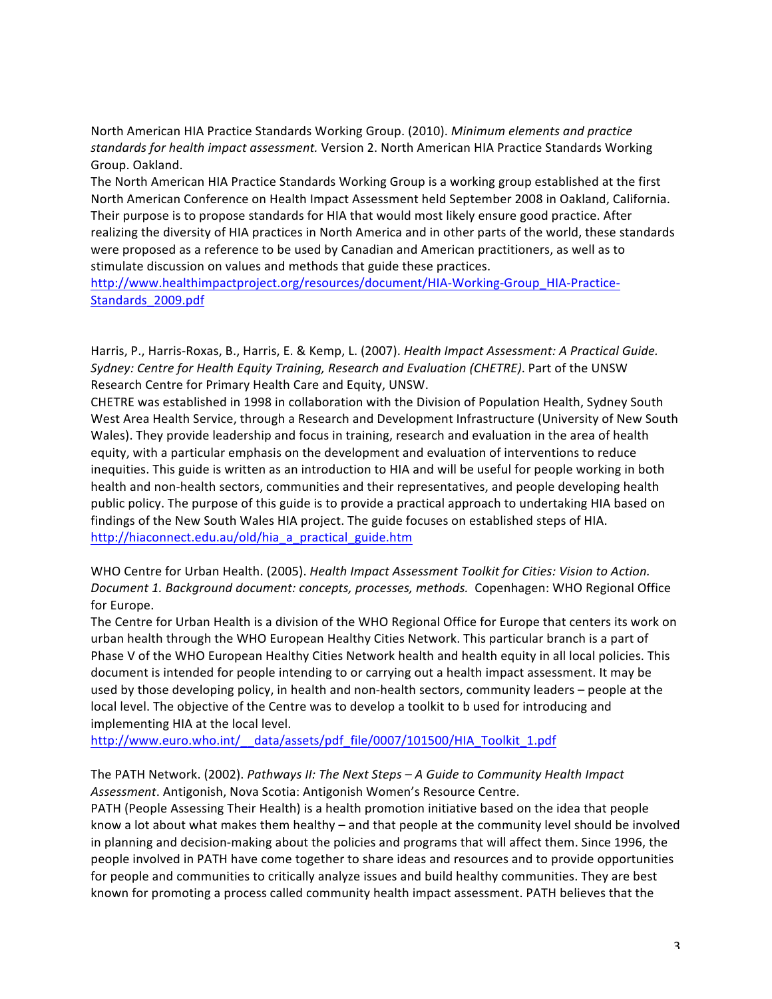North American HIA Practice Standards Working Group. (2010). *Minimum elements and practice* standards for health impact assessment. Version 2. North American HIA Practice Standards Working Group. Oakland.

The North American HIA Practice Standards Working Group is a working group established at the first North American Conference on Health Impact Assessment held September 2008 in Oakland, California. Their purpose is to propose standards for HIA that would most likely ensure good practice. After realizing the diversity of HIA practices in North America and in other parts of the world, these standards were proposed as a reference to be used by Canadian and American practitioners, as well as to stimulate discussion on values and methods that guide these practices.

http://www.healthimpactproject.org/resources/document/HIA-Working-Group\_HIA-Practice-Standards\_2009.pdf

Harris, P., Harris-Roxas, B., Harris, E. & Kemp, L. (2007). *Health Impact Assessment: A Practical Guide.* Sydney: Centre for Health Equity Training, Research and Evaluation (CHETRE). Part of the UNSW Research Centre for Primary Health Care and Equity, UNSW.

CHETRE was established in 1998 in collaboration with the Division of Population Health, Sydney South West Area Health Service, through a Research and Development Infrastructure (University of New South Wales). They provide leadership and focus in training, research and evaluation in the area of health equity, with a particular emphasis on the development and evaluation of interventions to reduce inequities. This guide is written as an introduction to HIA and will be useful for people working in both health and non-health sectors, communities and their representatives, and people developing health public policy. The purpose of this guide is to provide a practical approach to undertaking HIA based on findings of the New South Wales HIA project. The guide focuses on established steps of HIA. http://hiaconnect.edu.au/old/hia\_a\_practical\_guide.htm

WHO Centre for Urban Health. (2005). *Health Impact Assessment Toolkit for Cities: Vision to Action. Document 1. Background document: concepts, processes, methods.* Copenhagen: WHO Regional Office for Europe.

The Centre for Urban Health is a division of the WHO Regional Office for Europe that centers its work on urban health through the WHO European Healthy Cities Network. This particular branch is a part of Phase V of the WHO European Healthy Cities Network health and health equity in all local policies. This document is intended for people intending to or carrying out a health impact assessment. It may be used by those developing policy, in health and non-health sectors, community leaders – people at the local level. The objective of the Centre was to develop a toolkit to b used for introducing and implementing HIA at the local level.

http://www.euro.who.int/\_\_data/assets/pdf\_file/0007/101500/HIA\_Toolkit\_1.pdf

#### The PATH Network. (2002). *Pathways II: The Next Steps - A Guide to Community Health Impact* Assessment. Antigonish, Nova Scotia: Antigonish Women's Resource Centre.

PATH (People Assessing Their Health) is a health promotion initiative based on the idea that people know a lot about what makes them healthy – and that people at the community level should be involved in planning and decision-making about the policies and programs that will affect them. Since 1996, the people involved in PATH have come together to share ideas and resources and to provide opportunities for people and communities to critically analyze issues and build healthy communities. They are best known for promoting a process called community health impact assessment. PATH believes that the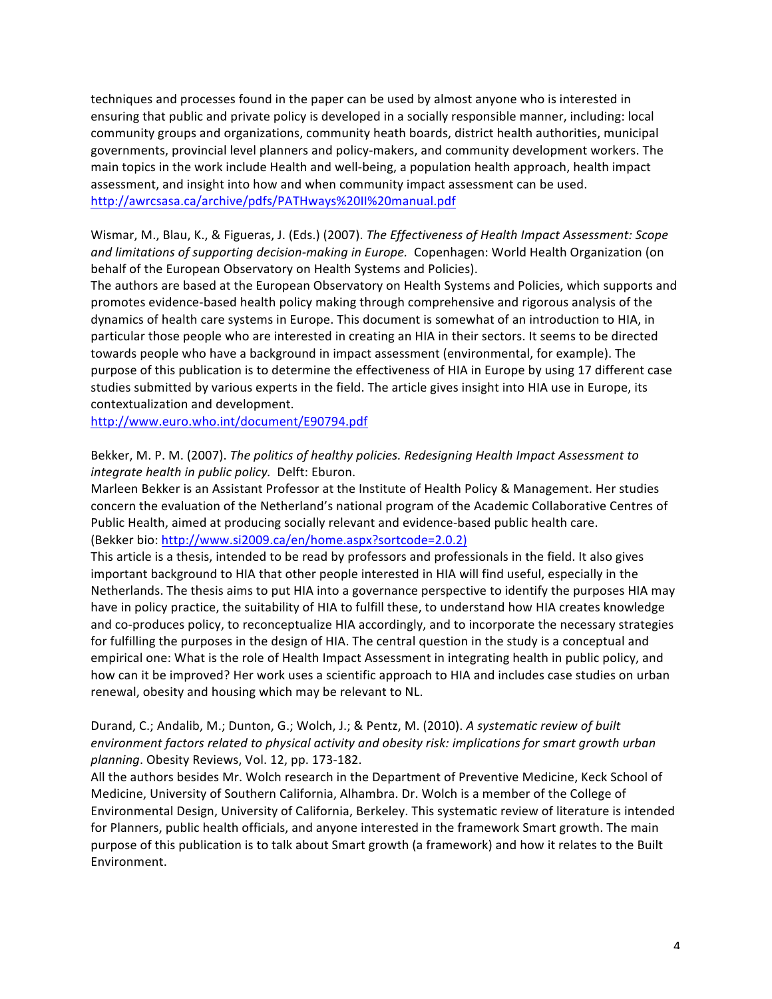techniques and processes found in the paper can be used by almost anyone who is interested in ensuring that public and private policy is developed in a socially responsible manner, including: local community groups and organizations, community heath boards, district health authorities, municipal governments, provincial level planners and policy-makers, and community development workers. The main topics in the work include Health and well-being, a population health approach, health impact assessment, and insight into how and when community impact assessment can be used. http://awrcsasa.ca/archive/pdfs/PATHways%20II%20manual.pdf

Wismar, M., Blau, K., & Figueras, J. (Eds.) (2007). *The Effectiveness of Health Impact Assessment: Scope and limitations of supporting decision-making in Europe.* Copenhagen: World Health Organization (on behalf of the European Observatory on Health Systems and Policies).

The authors are based at the European Observatory on Health Systems and Policies, which supports and promotes evidence-based health policy making through comprehensive and rigorous analysis of the dynamics of health care systems in Europe. This document is somewhat of an introduction to HIA, in particular those people who are interested in creating an HIA in their sectors. It seems to be directed towards people who have a background in impact assessment (environmental, for example). The purpose of this publication is to determine the effectiveness of HIA in Europe by using 17 different case studies submitted by various experts in the field. The article gives insight into HIA use in Europe, its contextualization and development.

http://www.euro.who.int/document/E90794.pdf

## Bekker, M. P. M. (2007). *The politics of healthy policies. Redesigning Health Impact Assessment to integrate health in public policy.* Delft: Eburon.

Marleen Bekker is an Assistant Professor at the Institute of Health Policy & Management. Her studies concern the evaluation of the Netherland's national program of the Academic Collaborative Centres of Public Health, aimed at producing socially relevant and evidence-based public health care. (Bekker bio: http://www.si2009.ca/en/home.aspx?sortcode=2.0.2)

This article is a thesis, intended to be read by professors and professionals in the field. It also gives important background to HIA that other people interested in HIA will find useful, especially in the Netherlands. The thesis aims to put HIA into a governance perspective to identify the purposes HIA may have in policy practice, the suitability of HIA to fulfill these, to understand how HIA creates knowledge and co-produces policy, to reconceptualize HIA accordingly, and to incorporate the necessary strategies for fulfilling the purposes in the design of HIA. The central question in the study is a conceptual and empirical one: What is the role of Health Impact Assessment in integrating health in public policy, and how can it be improved? Her work uses a scientific approach to HIA and includes case studies on urban renewal, obesity and housing which may be relevant to NL.

## Durand, C.; Andalib, M.; Dunton, G.; Wolch, J.; & Pentz, M. (2010). A systematic review of built environment factors related to physical activity and obesity risk: implications for smart growth urban planning. Obesity Reviews, Vol. 12, pp. 173-182.

All the authors besides Mr. Wolch research in the Department of Preventive Medicine, Keck School of Medicine, University of Southern California, Alhambra. Dr. Wolch is a member of the College of Environmental Design, University of California, Berkeley. This systematic review of literature is intended for Planners, public health officials, and anyone interested in the framework Smart growth. The main purpose of this publication is to talk about Smart growth (a framework) and how it relates to the Built Environment.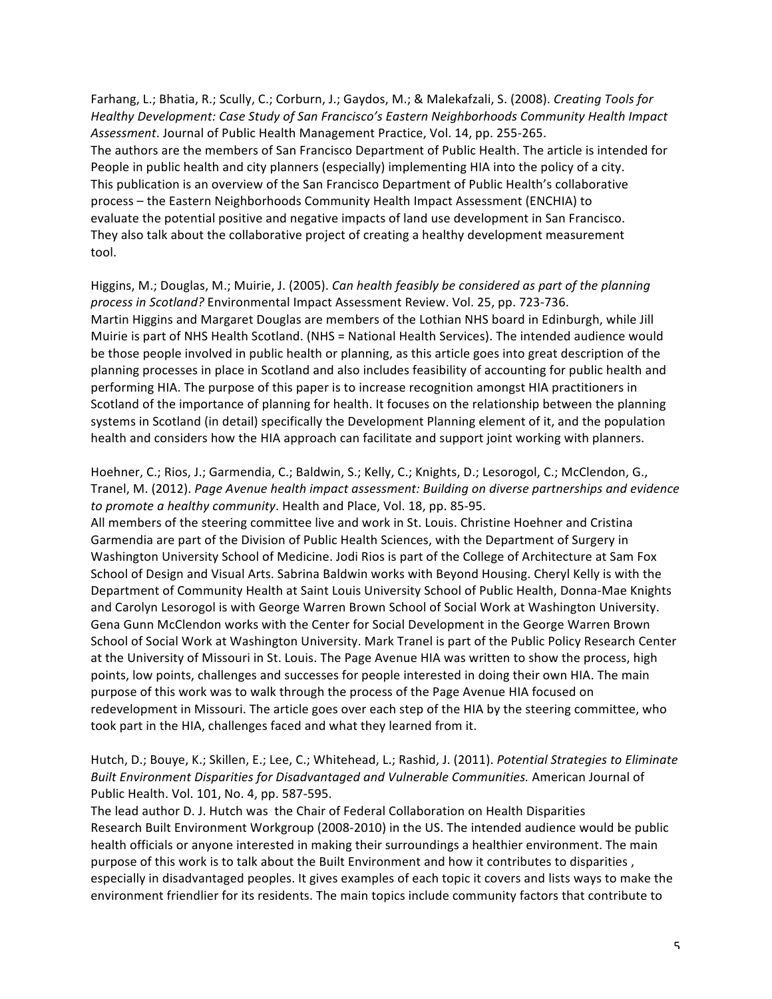Farhang, L.; Bhatia, R.; Scully, C.; Corburn, J.; Gaydos, M.; & Malekafzali, S. (2008). *Creating Tools for* Healthy Development: Case Study of San Francisco's Eastern Neighborhoods Community Health Impact Assessment. Journal of Public Health Management Practice, Vol. 14, pp. 255-265. The authors are the members of San Francisco Department of Public Health. The article is intended for People in public health and city planners (especially) implementing HIA into the policy of a city. This publication is an overview of the San Francisco Department of Public Health's collaborative process - the Eastern Neighborhoods Community Health Impact Assessment (ENCHIA) to evaluate the potential positive and negative impacts of land use development in San Francisco. They also talk about the collaborative project of creating a healthy development measurement tool.

Higgins, M.; Douglas, M.; Muirie, J. (2005). *Can health feasibly be considered as part of the planning* process in Scotland? Environmental Impact Assessment Review. Vol. 25, pp. 723-736. Martin Higgins and Margaret Douglas are members of the Lothian NHS board in Edinburgh, while Jill Muirie is part of NHS Health Scotland. (NHS = National Health Services). The intended audience would be those people involved in public health or planning, as this article goes into great description of the planning processes in place in Scotland and also includes feasibility of accounting for public health and performing HIA. The purpose of this paper is to increase recognition amongst HIA practitioners in Scotland of the importance of planning for health. It focuses on the relationship between the planning systems in Scotland (in detail) specifically the Development Planning element of it, and the population health and considers how the HIA approach can facilitate and support joint working with planners.

Hoehner, C.; Rios, J.; Garmendia, C.; Baldwin, S.; Kelly, C.; Knights, D.; Lesorogol, C.; McClendon, G., Tranel, M. (2012). *Page Avenue health impact assessment: Building on diverse partnerships and evidence to promote a healthy community*. Health and Place, Vol. 18, pp. 85-95.

All members of the steering committee live and work in St. Louis. Christine Hoehner and Cristina Garmendia are part of the Division of Public Health Sciences, with the Department of Surgery in Washington University School of Medicine. Jodi Rios is part of the College of Architecture at Sam Fox School of Design and Visual Arts. Sabrina Baldwin works with Beyond Housing. Cheryl Kelly is with the Department of Community Health at Saint Louis University School of Public Health, Donna-Mae Knights and Carolyn Lesorogol is with George Warren Brown School of Social Work at Washington University. Gena Gunn McClendon works with the Center for Social Development in the George Warren Brown School of Social Work at Washington University. Mark Tranel is part of the Public Policy Research Center at the University of Missouri in St. Louis. The Page Avenue HIA was written to show the process, high points, low points, challenges and successes for people interested in doing their own HIA. The main purpose of this work was to walk through the process of the Page Avenue HIA focused on redevelopment in Missouri. The article goes over each step of the HIA by the steering committee, who took part in the HIA, challenges faced and what they learned from it.

# Hutch, D.; Bouye, K.; Skillen, E.; Lee, C.; Whitehead, L.; Rashid, J. (2011). *Potential Strategies to Eliminate* Built Environment Disparities for Disadvantaged and Vulnerable Communities. American Journal of Public Health. Vol. 101, No. 4, pp. 587-595.

The lead author D. J. Hutch was the Chair of Federal Collaboration on Health Disparities Research Built Environment Workgroup (2008-2010) in the US. The intended audience would be public health officials or anyone interested in making their surroundings a healthier environment. The main purpose of this work is to talk about the Built Environment and how it contributes to disparities, especially in disadvantaged peoples. It gives examples of each topic it covers and lists ways to make the environment friendlier for its residents. The main topics include community factors that contribute to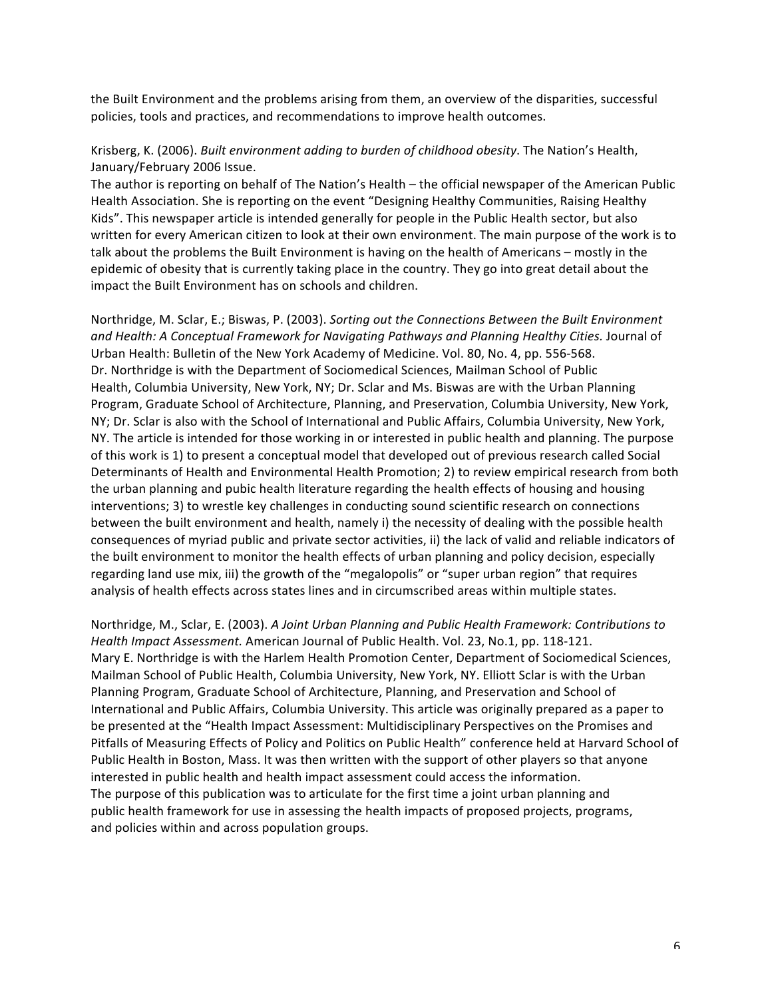the Built Environment and the problems arising from them, an overview of the disparities, successful policies, tools and practices, and recommendations to improve health outcomes.

#### Krisberg, K. (2006). *Built environment adding to burden of childhood obesity*. The Nation's Health, January/February 2006 Issue.

The author is reporting on behalf of The Nation's Health – the official newspaper of the American Public Health Association. She is reporting on the event "Designing Healthy Communities, Raising Healthy Kids". This newspaper article is intended generally for people in the Public Health sector, but also written for every American citizen to look at their own environment. The main purpose of the work is to talk about the problems the Built Environment is having on the health of Americans – mostly in the epidemic of obesity that is currently taking place in the country. They go into great detail about the impact the Built Environment has on schools and children.

Northridge, M. Sclar, E.; Biswas, P. (2003). Sorting out the Connections Between the Built Environment and Health: A Conceptual Framework for Navigating Pathways and Planning Healthy Cities. Journal of Urban Health: Bulletin of the New York Academy of Medicine. Vol. 80, No. 4, pp. 556-568. Dr. Northridge is with the Department of Sociomedical Sciences, Mailman School of Public Health, Columbia University, New York, NY; Dr. Sclar and Ms. Biswas are with the Urban Planning Program, Graduate School of Architecture, Planning, and Preservation, Columbia University, New York, NY; Dr. Sclar is also with the School of International and Public Affairs, Columbia University, New York, NY. The article is intended for those working in or interested in public health and planning. The purpose of this work is 1) to present a conceptual model that developed out of previous research called Social Determinants of Health and Environmental Health Promotion; 2) to review empirical research from both the urban planning and pubic health literature regarding the health effects of housing and housing interventions; 3) to wrestle key challenges in conducting sound scientific research on connections between the built environment and health, namely i) the necessity of dealing with the possible health consequences of myriad public and private sector activities, ii) the lack of valid and reliable indicators of the built environment to monitor the health effects of urban planning and policy decision, especially regarding land use mix, iii) the growth of the "megalopolis" or "super urban region" that requires analysis of health effects across states lines and in circumscribed areas within multiple states.

Northridge, M., Sclar, E. (2003). A Joint Urban Planning and Public Health Framework: Contributions to *Health Impact Assessment.* American Journal of Public Health. Vol. 23, No.1, pp. 118-121. Mary E. Northridge is with the Harlem Health Promotion Center, Department of Sociomedical Sciences, Mailman School of Public Health, Columbia University, New York, NY. Elliott Sclar is with the Urban Planning Program, Graduate School of Architecture, Planning, and Preservation and School of International and Public Affairs, Columbia University. This article was originally prepared as a paper to be presented at the "Health Impact Assessment: Multidisciplinary Perspectives on the Promises and Pitfalls of Measuring Effects of Policy and Politics on Public Health" conference held at Harvard School of Public Health in Boston, Mass. It was then written with the support of other players so that anyone interested in public health and health impact assessment could access the information. The purpose of this publication was to articulate for the first time a joint urban planning and public health framework for use in assessing the health impacts of proposed projects, programs, and policies within and across population groups.